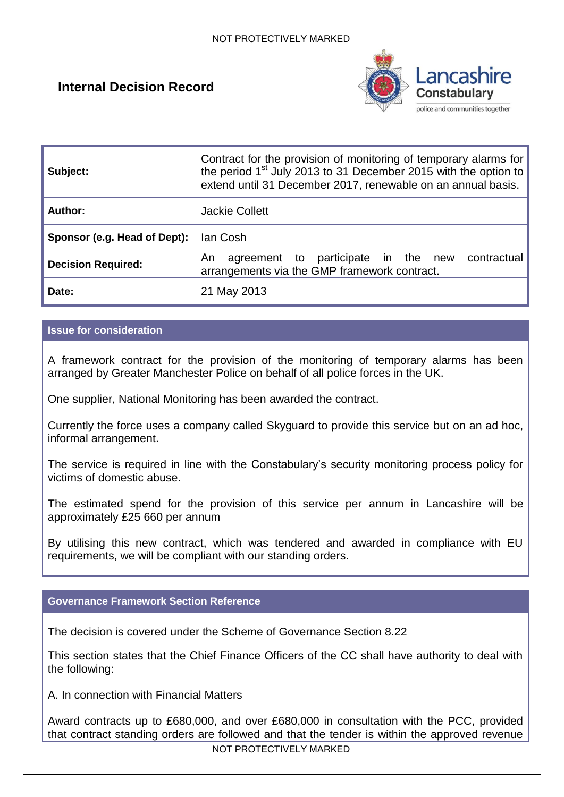# **Internal Decision Record**



| Subject:                     | Contract for the provision of monitoring of temporary alarms for<br>the period 1 <sup>st</sup> July 2013 to 31 December 2015 with the option to<br>extend until 31 December 2017, renewable on an annual basis. |  |
|------------------------------|-----------------------------------------------------------------------------------------------------------------------------------------------------------------------------------------------------------------|--|
| Author:                      | <b>Jackie Collett</b>                                                                                                                                                                                           |  |
| Sponsor (e.g. Head of Dept): | lan Cosh                                                                                                                                                                                                        |  |
| <b>Decision Required:</b>    | agreement to participate in the new<br>contractual<br>An<br>arrangements via the GMP framework contract.                                                                                                        |  |
| Date:                        | 21 May 2013                                                                                                                                                                                                     |  |

## **Issue for consideration**

A framework contract for the provision of the monitoring of temporary alarms has been arranged by Greater Manchester Police on behalf of all police forces in the UK.

One supplier, National Monitoring has been awarded the contract.

Currently the force uses a company called Skyguard to provide this service but on an ad hoc, informal arrangement.

The service is required in line with the Constabulary's security monitoring process policy for victims of domestic abuse.

The estimated spend for the provision of this service per annum in Lancashire will be approximately £25 660 per annum

By utilising this new contract, which was tendered and awarded in compliance with EU requirements, we will be compliant with our standing orders.

## **Governance Framework Section Reference**

The decision is covered under the Scheme of Governance Section 8.22

This section states that the Chief Finance Officers of the CC shall have authority to deal with the following:

A. In connection with Financial Matters

Award contracts up to £680,000, and over £680,000 in consultation with the PCC, provided that contract standing orders are followed and that the tender is within the approved revenue

NOT PROTECTIVELY MARKED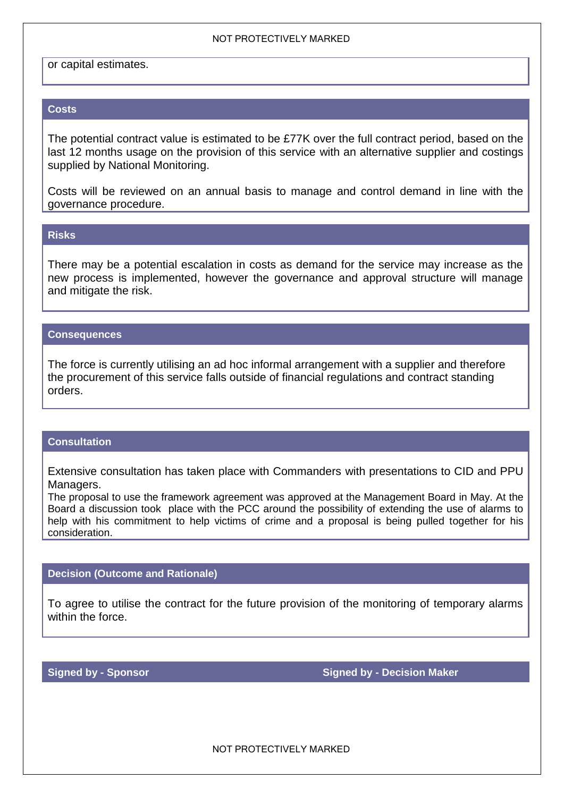#### NOT PROTECTIVELY MARKED

or capital estimates.

### **Costs**

The potential contract value is estimated to be £77K over the full contract period, based on the last 12 months usage on the provision of this service with an alternative supplier and costings supplied by National Monitoring.

Costs will be reviewed on an annual basis to manage and control demand in line with the governance procedure.

## **Risks**

There may be a potential escalation in costs as demand for the service may increase as the new process is implemented, however the governance and approval structure will manage and mitigate the risk.

#### **Consequences**

The force is currently utilising an ad hoc informal arrangement with a supplier and therefore the procurement of this service falls outside of financial regulations and contract standing orders.

## **Consultation**

Extensive consultation has taken place with Commanders with presentations to CID and PPU Managers.

The proposal to use the framework agreement was approved at the Management Board in May. At the Board a discussion took place with the PCC around the possibility of extending the use of alarms to help with his commitment to help victims of crime and a proposal is being pulled together for his consideration.

## **Decision (Outcome and Rationale)**

To agree to utilise the contract for the future provision of the monitoring of temporary alarms within the force.

**Signed by - Sponsor Signed by - Decision Maker <b>Signed by - Decision Maker** 

NOT PROTECTIVELY MARKED